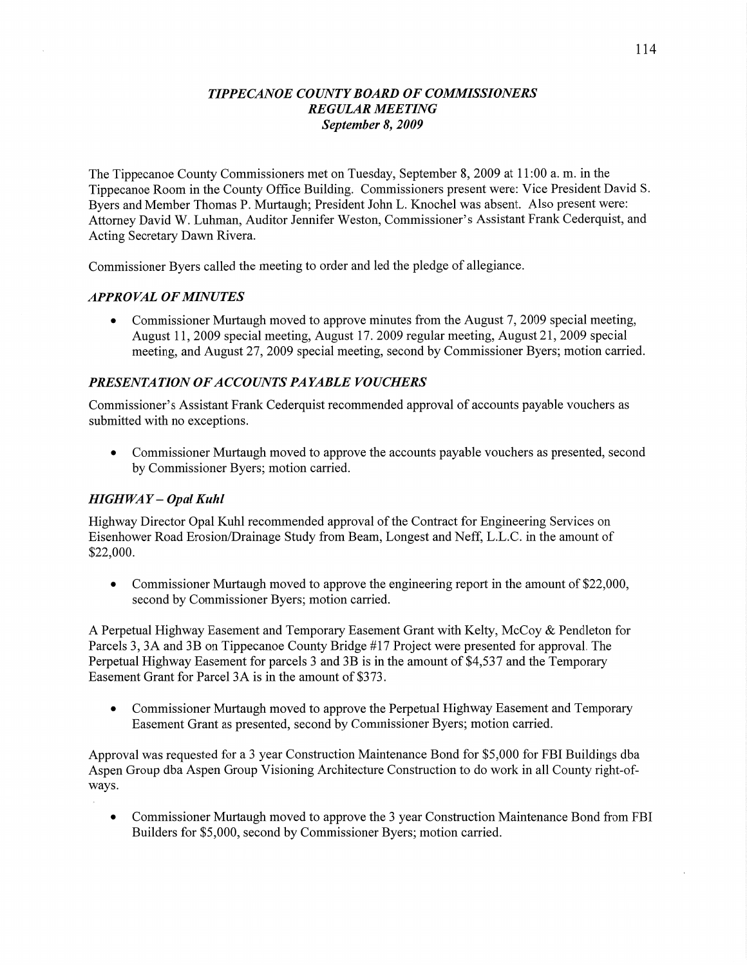## *TIPPECANOE COUNTY BOARD* OF *COMMISSIONERS REGULAR MEETING September* 8, *2009*

The Tippecanoe County Commissioners met on Tuesday, September 8, 2009 at 11:00 a. m. in the Tippecanoe Room in the County Office Building. Commissioners present were: **Vice** President David S. Byers and Member Thomas P. Murtaugh; President John L. Knochel was absent. Also present were: Attorney David W. Luhman, Auditor Jennifer Weston, Commissioner's Assistant Frank Cederquist, and Acting Secretary Dawn Rivera.

Commissioner Byers called the meeting to order and led the pledge of allegiance.

### *APPRO* VAL OF *MINUTES*

**0** Commissioner Murtaugh moved to approve minutes from the August 7, 2009 special meeting, August 11, 2009 special meeting, August 17. 2009 regular meeting, August 21, 2009 special meeting, and August 27, 2009 special meeting, second by Commissioner Byers; motion carried.

## **PRESENTATION OF ACCOUNTS PAYABLE VOUCHERS**

Commissioner's Assistant Frank Cederquist recommended approval of accounts payable vouchers as submitted with no exceptions.

**0** Commissioner Murtaugh moved to approve the accounts payable vouchers as presented, second by Commissioner Byers; motion carried.

#### *HIGHWAY* **—** *Opal Kuhl*

Highway Director Opal Kuhl recommended approval of the Contract for Engineering Services on Eisenhower Road Erosion/Drainage Study from Beam, Longest and Neff, L.L.C. in the amount of \$22,000.

• Commissioner Murtaugh moved to approve the engineering report in the amount of \$22,000, second by Commissioner Byers; motion carried.

**A** Perpetual Highway Basement and Temporary Easement Grant with Kelty, McCoy & Pendleton for Parcels 3, 3A and 3B on Tippecanoe County Bridge #17 Project were presented for approval. The Perpetual Highway Easement for parcels 3 and 3B is in the amount of \$4,537 and the Temporary Easement Grant for Parcel 3A is in the amount of \$3 73.

• Commissioner Murtaugh moved to approve the Perpetual Highway Easement and Temporary Easement Grant as presented, second by Commissioner Byers; motion carried.

Approval was requested for a 3 year Construction Maintenance Bond for \$5,000 for FBI Buildings dba Aspen Group dba Aspen Group Visioning Architecture Construction to do work in all County right-ofways.

**.** Commissioner Murtaugh moved to approve the 3 year Construction Maintenance Bond from FBI Builders for \$5,000, second by Commissioner Byers; motion carried.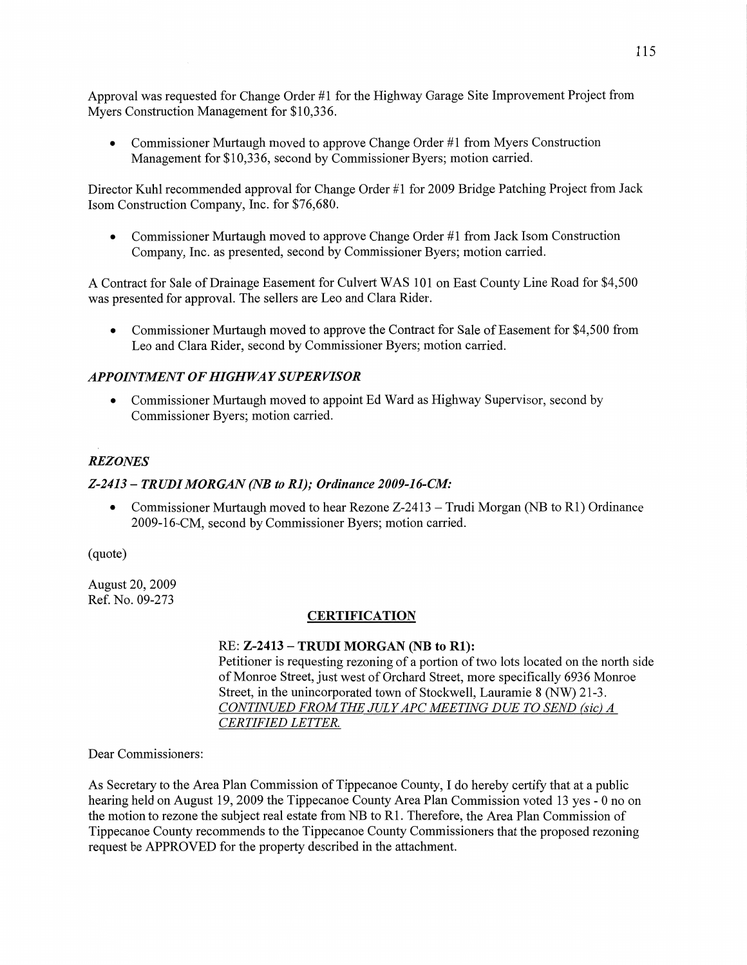Approval was requested for **Change** Order #1 for the Highway Garage Site Improvement Project from Myers Construction Management for \$10,336.

**0** Commissioner Murtaugh moved to approve **Change** Order #1 from Myers Construction Management for \$10,336, second by Commissioner Byers; motion carried.

Director Kuhl recommended approval for Change Order #1 for 2009 Bridge Patching Project from Jack Isom Construction Company, Inc. for \$76,680.

• Commissioner Murtaugh moved to approve Change Order #1 from Jack Isom Construction Company, Inc. as presented, second by Commissioner Byers; motion carried.

**A** Contract for Sale of Drainage Easement for Culvert WAS 101 on East County Line Road for \$4,500 was presented for approval. The sellers are Leo and Clara Rider.

**0** Commissioner Murtaugh moved to approve the Contract for **Sale** of Easement for \$4,500 from Leo and Clara Rider, second by Commissioner Byers; motion carried.

# *APPOINTMENT* OF *HIGHWAY SUPER VISOR*

**0** Commissioner Murtaugh moved to appoint Ed Ward as Highway Supervisor, second by Commissioner Byers; motion carried.

# *REZONES*

## *Z*-2413 – TRUDI MORGAN (NB to R1); Ordinance 2009-16-CM:

**0** Commissioner Murtaugh moved to hear Rezone Z-2413 **— Trudi** Morgan (NB to R1) Ordinance 2009-16-CM, second by Commissioner Byers; motion carried.

(quote)

August 20, 2009 Ref. No. 09—273

### **CERTIFICATION**

### RE: **Z-2413 — TRUDI MORGAN** (NB to **R1):**

Petitioner is requesting rezoning of a portion of two lots located on the north side of Monroe Street, just west of Orchard Street, more specifically 6936 Monroe Street, in the unincorporated town of Stockwell, Lauramie 8 (NW) 21-3. *CONTINUED FROM* THE *JULY* APC *METING* DUE TO *SEND (sic) A CERTIFIED LETTER* 

Dear Commissioners:

As Secretary to the Area Plan **Commission** of Tippecanoe County, I do hereby certify that at **<sup>a</sup>**public **hearing** held on August 19, 2009 the Tippecanoe County Area Plan Commission voted 13 yes — **0** no on the motion to rezone the subject real estate from NB to R1. Therefore, the Area Plan Commission of Tippecanoe County recommends to the Tippecanoe County Commissioners that the proposed rezoning request be **APPROVED** for the property descn'bed in the **attachment.**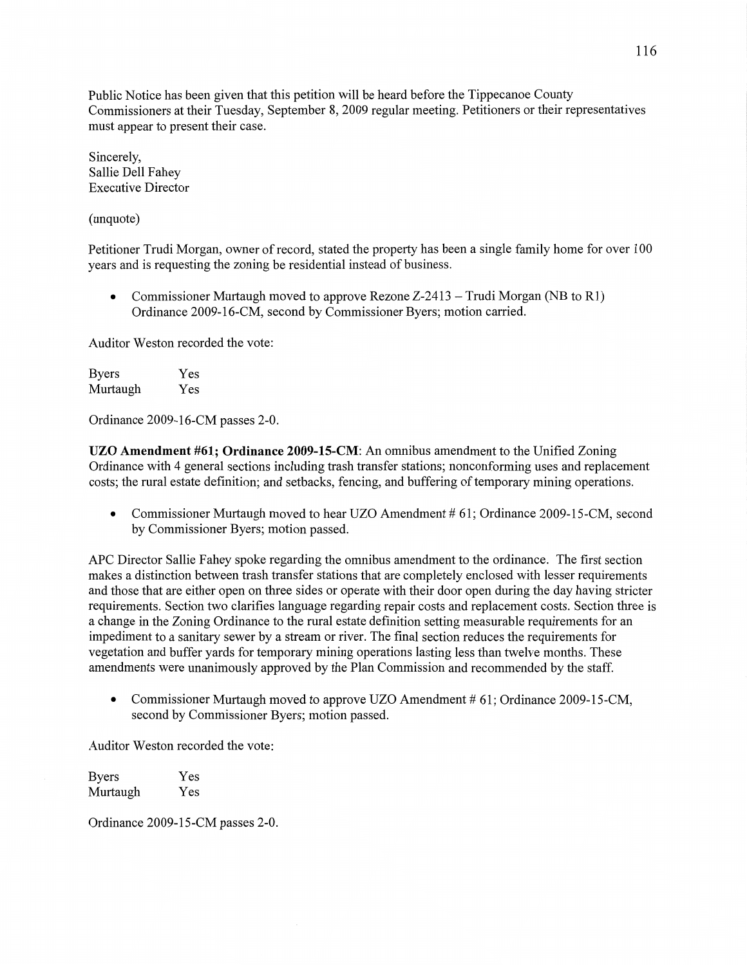Public Notice has been given that this petition will be heard before the Tippecanoe County Commissioners at their Tuesday, September 8, 2009 regular meeting. Petitioners or **their** representatives must appear to present their case.

Sincerely, Sallie Dell Fahey Executive Director

(unquote)

Petitioner **Trudi** Morgan, owner of record, **stated** the property has been a single family home for over 100 years and is requesting the zoning be residential instead of business.

**0 Commissioner** Murtaugh moved to approve Rezone Z-24l3 *—* Trudi Morgan (NB to R1) Ordinance 2009-16-CM, second by **Commissioner** Byers; **motion** carried.

Auditor Weston recorded the vote:

| <b>Byers</b> | Yes |
|--------------|-----|
| Murtaugh     | Yes |

Ordinance 2009-16-CM passes 2—0.

UZO **Amendment #61;** Ordinance **2009-15-CM:** An **omnibus** amendment to the Unified Zoning Ordinance with 4 general sections including trash transfer stations; nonconforming uses and replacement costs; the rural estate definition; and setbacks, fencing, and buffering of temporary mining operations.

• Commissioner Murtaugh moved to hear UZO Amendment # 61; Ordinance 2009-15-CM, second by Commissioner Byers; motion passed.

APC Director Sallie Fahey spoke regarding the omnibus amendment to the ordinance. The first section makes **a** distinction between trash transfer stations that are completely enclosed with lesser requirements and those that are either open on three sides or operate With their door open during the day having stricter requirements. Section two clarifies language regarding repair costs and replacement costs. Section three is **<sup>a</sup>**change in the Zoning Ordinance to the rural estate definition setting measurable requirements for an impediment to a sanitary sewer by a stream or river. The final section reduces the requirements for vegetation and buffer yards for temporary mining operations lasting less **than** twelve months. **These amendments** were unanimously approved by the Plan Commission and recommended by the staff.

**0** Commissioner Murtaugh moved to approve UZO Amendment *#* 61; Ordinance 2009-15-CM, second by Commissioner Byers; motion passed.

Auditor Weston recorded the vote:

Byers Yes Murtaugh Yes

Ordinance 2009-15-CM passes 2-0.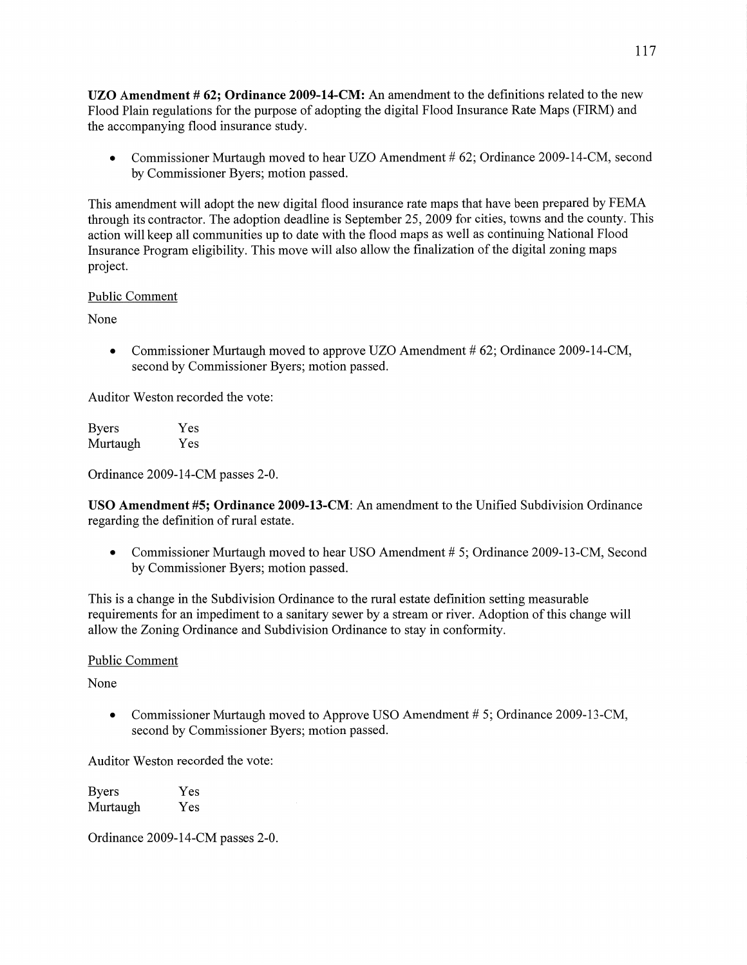UZO **Amendment #** 62; **Ordinance 2009—14—CM:** An amendment to the definitions related to the new Flood **Plain** regulations for the purpose of adopting the digital Flood Insurance Rate Maps (FIRM) and the accompanying flood insurance study.

• Commissioner Murtaugh moved to hear UZO Amendment # 62; Ordinance 2009-14-CM, second by Commissioner Byers; motion passed.

This amendment will adopt the new digital flood insurance rate maps that have been prepared by FEMA through its contractor. The adoption deadline is September 25, 2009 for cities, towns and the county. This action will keep all communities up to date with the flood maps as well as continuing National Flood Insurance Program eligibility. This move Will also allow the finalization of the digital zoning maps project.

#### Public **Comment**

None

• Commissioner Murtaugh moved to approve UZO Amendment # 62; Ordinance 2009-14-CM, second by Commissioner Byers; motion passed.

Auditor Weston recorded the vote:

| Byers    | Yes |
|----------|-----|
| Murtaugh | Yes |

Ordinance 2009-14-CM passes 2—0.

USO Amendment #5; **Ordinance 2009-13—CM:** An amendment to the Unified Subdivision Ordinance regarding the definition of rural estate.

**0** Commissioner Murtaugh moved to hear USO Amendment *#* 5; Ordinance 2009-13-CM, Second by Commissioner Byers; motion passed.

This is a change in the Subdivision Ordinance to the rural estate definition setting measurable requirements for an impediment to a sanitary sewer by a stream or river. Adoption of this change will allow the Zoning Ordinance and Subdivision Ordinance to stay in conformity.

### Public Comment

None

*0* Commissioner Murtaugh moved to Approve USO Amendment *#* 5; Ordinance 2009-13-CM, second by Commissioner Byers; motion passed.

Auditor Weston recorded the vote:

Byers Yes Murtaugh Yes

Ordinance 2009-14-CM passes 2—0.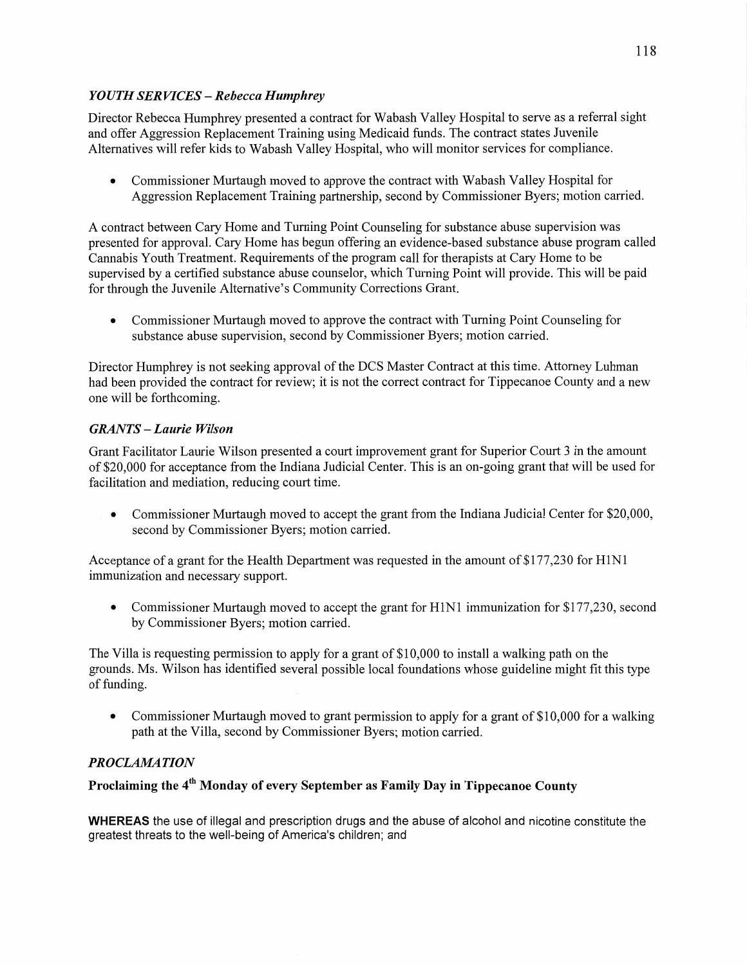## *YOUTH SERVICES* —- *Rebecca Humphrey*

Director Rebecca Humphrey presented a contract for Wabash Valley Hospital to serve as <sup>a</sup>referral sight and offer Aggression Replacement Training using Medicaid funds. The contract states Juvenile Alternatives will refer kids to Wabash Valley Hospital, who will monitor services for compliance.

**•** Commissioner Murtaugh moved to approve the contract with Wabash Valley Hospital for Aggression Replacement Training partnership, second by Commissioner Byers; motion carried. j

**<sup>A</sup>**contract between Cary Home and Turning Point Counseling for substance abuse supervision was <sup>1</sup> presented for approval. Cary Home has begun offering an evidence-based substance abuse program called **<sup>1</sup>** Cannabis Youth Treatment. Requirements of the program call for therapists at Cary Home to be <sup>i</sup> supervised by a certified substance abuse counselor, which Turning Point will provide. This will be paid for through the Juvenile Alternative's Community Corrections Grant.

**0** Commissioner Murtaugh moved to approve the contract with Turning Point Counseling for substance abuse supervision, second by Commissioner Byers; motion carried.

Director Humphrey is not seeking approval of the DCS Master Contract at this time. Attorney Luhman had **been** provided the contract for review; it is not the correct contract for Tippecanoe County and a new one will be forthcoming.

# *GRANTS* **—** *Laurie Wilson*

Grant Facilitator Laurie Wilson presented a court improvement grant for Superior Court 3 in the amount of \$20,000 for acceptance from the Indiana Judicial Center. This is an on—going grant that will be used for facilitation and mediation, reducing court time.

• Commissioner Murtaugh moved to accept the grant from the Indiana Judicial Center for \$20,000, second by Commissioner Byers; motion carried.

Acceptance of a grant for the Health Department was requested in the amount of \$177,230 for H1N1 immunization and necessary support.

• Commissioner Murtaugh moved to accept the grant for H1N1 immunization for \$177,230, second by Commissioner Byers; motion carried.

The Villa is requesting permission to apply for a grant of \$10,000 to install a walking path on the grounds. Ms. Wilson has identified several possible local foundations Whose guideline might fit this type of funding.

• Commissioner Murtaugh moved to grant permission to apply for a grant of \$10,000 for a walking path at the Villa, second by Commissioner Byers; motion carried.

# **PROCLAMATION**

## Proclaiming the 4<sup>th</sup> Monday of every September as Family Day in Tippecanoe County

WHEREAS the use of illegal and prescription drugs and the abuse of alcohol and nicotine constitute the greatest threats to the well-being of America's children; and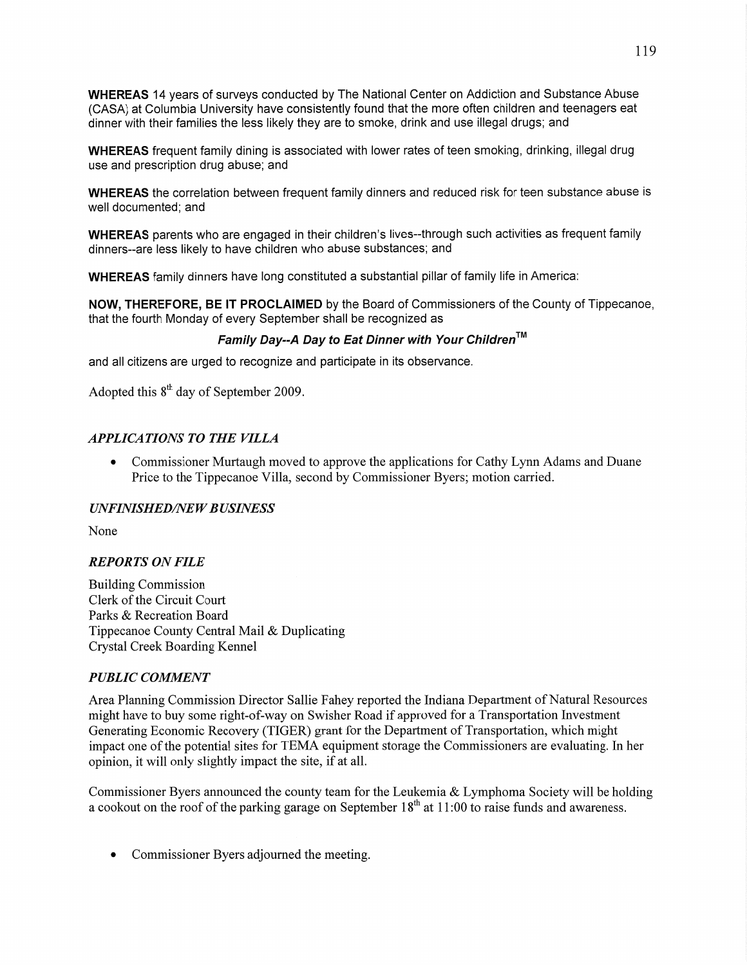WHEREAS 14 years of surveys conducted by The National Center on Addiction and Substance Abuse (CASA) at Columbia University have consistently found that the more often children and teenagers eat dinner with their families the **less** likely they are to smoke, drink and use illegal drugs; and

WHEREAS frequent family dining is associated with lower **rates** of teen smoking, drinking, illegal drug use and prescription drug abuse; and

WHEREAS the correlation between frequent family dinners and reduced risk for teen substance abuse is well documented; and

WHEREAS parents who are engaged in their children's lives--through such activities as frequent family dinners--are less likely to have children who abuse substances; and

WHEREAS family dinners have long constituted a substantial pillar of family life in America:

**NOW, THEREFORE,** BE IT PROCLAIMED by the Board of Commissioners of the County of Tippecanoe, **that** the fourth Monday of every September shall be recognized as

# *Family Day--A* Day to Eat *Dinner with Your ChildrenTM*

and all citizens are urged to recognize and participate in its observance.

Adopted this  $8<sup>th</sup>$  day of September 2009.

#### *APPLICATIONS T 0* THE *VILLA*

**0** Commissioner Murtaugh moved to approve the applications for Cathy Lynn Adams and Duane Price to the Tippecanoe Villa, second by Commissioner Byers; motion carried.

#### *UNFINISHED/NEW BUSINESS*

None

#### *REPORTS* ON *FILE*

Building Commission Clerk of the Circuit Court Parks & Recreation Board Tippecanoe County Central Mail & Duplicating Crystal Creek Boarding Kennel

#### *PUBLIC COMMENT*

Area Planning Commission Director Sallie Fahey reported the Indiana Department of Natural Resources might have to buy some right-of-way on Swisher Road if approved for a Transportation Investment Generating Economic Recovery (TIGER) grant for the Department of Transportation, which might impact one of the potential sites for TEMA equipment storage the Commissioners are evaluating. In her opinion, it Will only slightly impact the site, if at all.

Commissioner Byers announced the county team for the Leukemia & Lymphoma Society Will be holding a cookout on the roof of the parking garage on September  $18<sup>th</sup>$  at  $11:00$  to raise funds and awareness.

**0** Commissioner Byers adjourned the meeting.